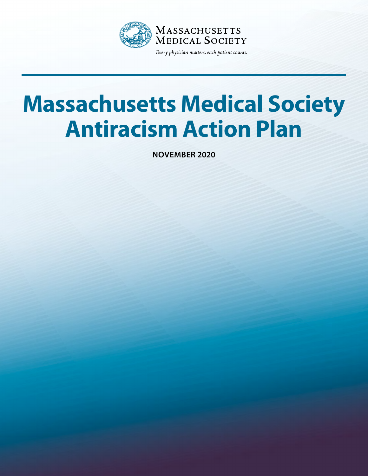

# **Massachusetts Medical Society Antiracism Action Plan**

**NOVEMBER 2020**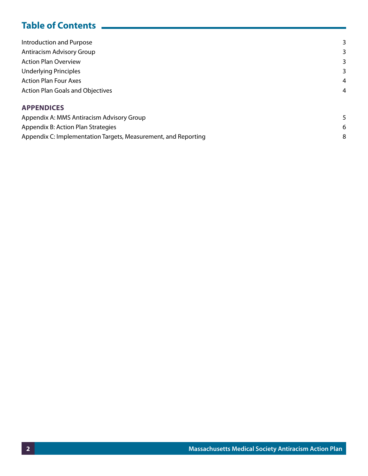# **Table of Contents**

| <b>Introduction and Purpose</b>           | 3 |
|-------------------------------------------|---|
| Antiracism Advisory Group                 | 3 |
| <b>Action Plan Overview</b>               | 3 |
| <b>Underlying Principles</b>              | 3 |
| <b>Action Plan Four Axes</b>              | 4 |
| <b>Action Plan Goals and Objectives</b>   | 4 |
| <b>APPENDICES</b>                         |   |
| Appendix A: MMS Antiracism Advisory Group | 5 |
| Appendix B: Action Plan Strategies        | 6 |

[Appendix C: Implementation Targets, Measurement, and Reporting](#page-7-0) **8** 8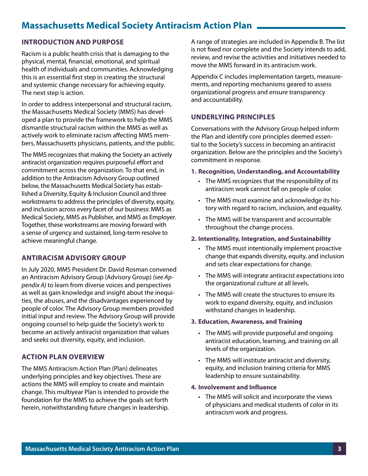# <span id="page-2-0"></span>**Massachusetts Medical Society Antiracism Action Plan**

## **INTRODUCTION AND PURPOSE**

Racism is a public health crisis that is damaging to the physical, mental, financial, emotional, and spiritual health of individuals and communities. Acknowledging this is an essential first step in creating the structural and systemic change necessary for achieving equity. The next step is action.

In order to address interpersonal and structural racism, the Massachusetts Medical Society (MMS) has developed a plan to provide the framework to help the MMS dismantle structural racism within the MMS as well as actively work to eliminate racism affecting MMS members, Massachusetts physicians, patients, and the public.

The MMS recognizes that making the Society an actively antiracist organization requires purposeful effort and commitment across the organization. To that end, in addition to the Antiracism Advisory Group outlined below, the Massachusetts Medical Society has established a Diversity, Equity & Inclusion Council and three workstreams to address the principles of diversity, equity, and inclusion across every facet of our business: MMS as Medical Society, MMS as Publisher, and MMS as Employer. Together, these workstreams are moving forward with a sense of urgency and sustained, long-term resolve to achieve meaningful change.

## **ANTIRACISM ADVISORY GROUP**

In July 2020, MMS President Dr. David Rosman convened an Antiracism Advisory Group (Advisory Group) *[\(see Ap](#page-5-0)[pendix A\)](#page-5-0)* to learn from diverse voices and perspectives as well as gain knowledge and insight about the inequities, the abuses, and the disadvantages experienced by people of color. The Advisory Group members provided initial input and review. The Advisory Group will provide ongoing counsel to help guide the Society's work to become an actively antiracist organization that values and seeks out diversity, equity, and inclusion.

## **ACTION PLAN OVERVIEW**

The MMS Antiracism Action Plan (Plan) delineates underlying principles and key objectives. These are actions the MMS will employ to create and maintain change. This multiyear Plan is intended to provide the foundation for the MMS to achieve the goals set forth herein, notwithstanding future changes in leadership. A range of strategies are included in Appendix B. The list is not fixed nor complete and the Society intends to add, review, and revise the activities and initiatives needed to move the MMS forward in its antiracism work.

Appendix C includes implementation targets, measurements, and reporting mechanisms geared to assess organizational progress and ensure transparency and accountability.

### **UNDERLYING PRINCIPLES**

Conversations with the Advisory Group helped inform the Plan and identify core principles deemed essential to the Society's success in becoming an antiracist organization. Below are the principles and the Society's commitment in response.

#### **1. Recognition, Understanding, and Accountability**

- The MMS recognizes that the responsibility of its antiracism work cannot fall on people of color.
- The MMS must examine and acknowledge its history with regard to racism, inclusion, and equality.
- The MMS will be transparent and accountable throughout the change process.

#### **2. Intentionality, Integration, and Sustainability**

- The MMS must intentionally implement proactive change that expands diversity, equity, and inclusion and sets clear expectations for change.
- The MMS will integrate antiracist expectations into the organizational culture at all levels.
- The MMS will create the structures to ensure its work to expand diversity, equity, and inclusion withstand changes in leadership.

#### **3. Education, Awareness, and Training**

- The MMS will provide purposeful and ongoing antiracist education, learning, and training on all levels of the organization.
- The MMS will institute antiracist and diversity, equity, and inclusion training criteria for MMS leadership to ensure sustainability.

#### **4. Involvement and Influence**

• The MMS will solicit and incorporate the views of physicians and medical students of color in its antiracism work and progress.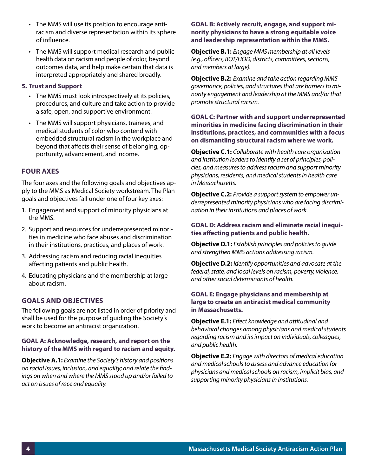- <span id="page-3-0"></span>• The MMS will use its position to encourage antiracism and diverse representation within its sphere of influence.
- The MMS will support medical research and public health data on racism and people of color, beyond outcomes data, and help make certain that data is interpreted appropriately and shared broadly.

#### **5. Trust and Support**

- The MMS must look introspectively at its policies, procedures, and culture and take action to provide a safe, open, and supportive environment.
- The MMS will support physicians, trainees, and medical students of color who contend with embedded structural racism in the workplace and beyond that affects their sense of belonging, opportunity, advancement, and income.

## **FOUR AXES**

The four axes and the following goals and objectives apply to the MMS as Medical Society workstream. The Plan goals and objectives fall under one of four key axes:

- 1. Engagement and support of minority physicians at the MMS.
- 2. Support and resources for underrepresented minorities in medicine who face abuses and discrimination in their institutions, practices, and places of work.
- 3. Addressing racism and reducing racial inequities affecting patients and public health.
- 4. Educating physicians and the membership at large about racism.

#### **GOALS AND OBJECTIVES**

The following goals are not listed in order of priority and shall be used for the purpose of guiding the Society's work to become an antiracist organization.

#### **GOAL A: Acknowledge, research, and report on the history of the MMS with regard to racism and equity.**

**Objective A.1:** *Examine the Society's history and positions on racial issues, inclusion, and equality; and relate the findings on when and where the MMS stood up and/or failed to act on issues of race and equality.*

#### **GOAL B: Actively recruit, engage, and support minority physicians to have a strong equitable voice and leadership representation within the MMS.**

**Objective B.1:** *Engage MMS membership at all levels (e.g., officers, BOT/HOD, districts, committees, sections, and members at large).* 

**Objective B.2:** *Examine and take action regarding MMS governance, policies, and structures that are barriers to minority engagement and leadership at the MMS and/or that promote structural racism.* 

**GOAL C: Partner with and support underrepresented minorities in medicine facing discrimination in their institutions, practices, and communities with a focus on dismantling structural racism where we work.**

**Objective C.1:** *Collaborate with health care organization and institution leaders to identify a set of principles, policies, and measures to address racism and support minority physicians, residents, and medical students in health care in Massachusetts.* 

**Objective C.2:** *Provide a support system to empower underrepresented minority physicians who are facing discrimination in their institutions and places of work.*

#### **GOAL D: Address racism and eliminate racial inequities affecting patients and public health.**

**Objective D.1:** *Establish principles and policies to guide and strengthen MMS actions addressing racism.* 

**Objective D.2:** *Identify opportunities and advocate at the federal, state, and local levels on racism, poverty, violence, and other social determinants of health.* 

#### **GOAL E: Engage physicians and membership at large to create an antiracist medical community in Massachusetts.**

**Objective E.1:** *Effect knowledge and attitudinal and behavioral changes among physicians and medical students regarding racism and its impact on individuals, colleagues, and public health.* 

**Objective E.2:** *Engage with directors of medical education and medical schools to assess and advance education for physicians and medical schools on racism, implicit bias, and supporting minority physicians in institutions.*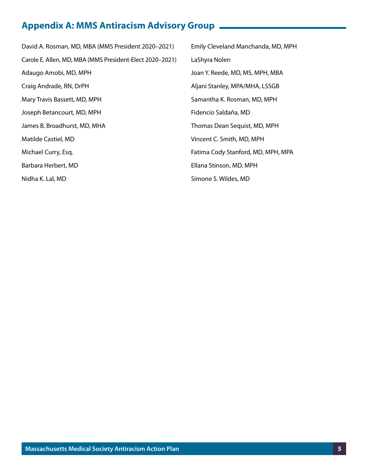# <span id="page-4-0"></span>**Appendix A: MMS Antiracism Advisory Group**

David A. Rosman, MD, MBA (MMS President 2020–2021) Carole E. Allen, MD, MBA (MMS President-Elect 2020–2021) Adaugo Amobi, MD, MPH Craig Andrade, RN, DrPH Mary Travis Bassett, MD, MPH Joseph Betancourt, MD, MPH James B. Broadhurst, MD, MHA Matilde Castiel, MD Michael Curry, Esq. Barbara Herbert, MD Nidha K. Lal, MD Emily Cleveland Manchanda, MD, MPH LaShyra Nolen Joan Y. Reede, MD, MS, MPH, MBA Aljani Stanley, MPA/MHA, LSSGB Samantha K. Rosman, MD, MPH Fidencio Saldaña, MD Thomas Dean Sequist, MD, MPH Vincent C. Smith, MD, MPH Fatima Cody Stanford, MD, MPH, MPA Ellana Stinson, MD, MPH Simone S. Wildes, MD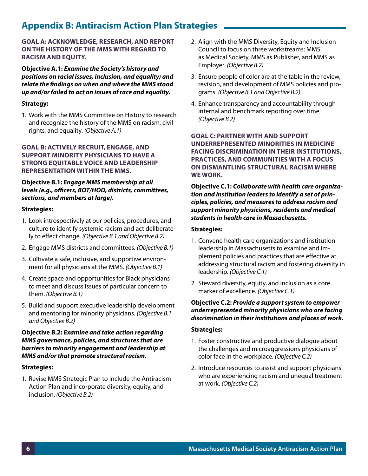# <span id="page-5-0"></span>**Appendix B: Antiracism Action Plan Strategies**

#### **GOAL A: ACKNOWLEDGE, RESEARCH, AND REPORT ON THE HISTORY OF THE MMS WITH REGARD TO RACISM AND EQUITY.**

**Objective A.1:** *Examine the Society's history and positions on racial issues, inclusion, and equality; and relate the findings on when and where the MMS stood up and/or failed to act on issues of race and equality.* 

#### **Strategy:**

1. Work with the MMS Committee on History to research and recognize the history of the MMS on racism, civil rights, and equality. *(Objective A.1)* 

#### **GOAL B: ACTIVELY RECRUIT, ENGAGE, AND SUPPORT MINORITY PHYSICIANS TO HAVE A STRONG EQUITABLE VOICE AND LEADERSHIP REPRESENTATION WITHIN THE MMS.**

#### **Objective B.1:** *Engage MMS membership at all levels (e.g., officers, BOT/HOD, districts, committees, sections, and members at large).*

#### **Strategies:**

- 1. Look introspectively at our policies, procedures, and culture to identify systemic racism and act deliberately to effect change. *(Objective B.1 and Objective B.2)*
- 2. Engage MMS districts and committees. *(Objective B.1)*
- 3. Cultivate a safe, inclusive, and supportive environment for all physicians at the MMS. *(Objective B.1)*
- 4. Create space and opportunities for Black physicians to meet and discuss issues of particular concern to them. *(Objective B.1)*
- 5. Build and support executive leadership development and mentoring for minority physicians. *(Objective B.1 and Objective B.2)*

#### **Objective B.2:** *Examine and take action regarding MMS governance, policies, and structures that are barriers to minority engagement and leadership at MMS and/or that promote structural racism.*

#### **Strategies:**

1. Revise MMS Strategic Plan to include the Antiracism Action Plan and incorporate diversity, equity, and inclusion. *(Objective B.2)*

- 2. Align with the MMS Diversity, Equity and Inclusion Council to focus on three workstreams: MMS as Medical Society, MMS as Publisher, and MMS as Employer. *(Objective B.2)*
- 3. Ensure people of color are at the table in the review, revision, and development of MMS policies and programs. *(Objective B.1 and Objective B.2)*
- 4. Enhance transparency and accountability through internal and benchmark reporting over time. *(Objective B.2)*

**GOAL C: PARTNER WITH AND SUPPORT UNDERREPRESENTED MINORITIES IN MEDICINE FACING DISCRIMINATION IN THEIR INSTITUTIONS, PRACTICES, AND COMMUNITIES WITH A FOCUS ON DISMANTLING STRUCTURAL RACISM WHERE WE WORK.**

**Objective C.1:** *Collaborate with health care organization and institution leaders to identify a set of principles, policies, and measures to address racism and support minority physicians, residents and medical students in health care in Massachusetts.*

#### **Strategies:**

- 1. Convene health care organizations and institution leadership in Massachusetts to examine and implement policies and practices that are effective at addressing structural racism and fostering diversity in leadership. *(Objective C.1)*
- 2. Steward diversity, equity, and inclusion as a core marker of excellence. *(Objective C.1)*

#### **Objective C.2:** *Provide a support system to empower underrepresented minority physicians who are facing discrimination in their institutions and places of work.*

#### **Strategies:**

- 1. Foster constructive and productive dialogue about the challenges and microaggressions physicians of color face in the workplace. *(Objective C.2)*
- 2. Introduce resources to assist and support physicians who are experiencing racism and unequal treatment at work. *(Objective C.2)*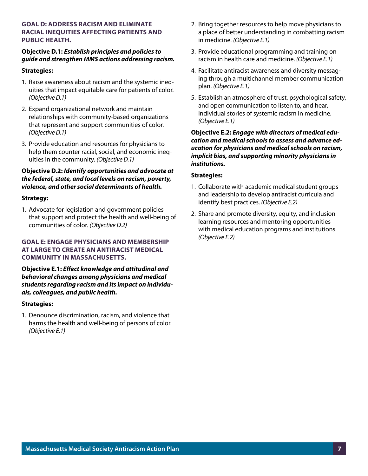#### **GOAL D: ADDRESS RACISM AND ELIMINATE RACIAL INEQUITIES AFFECTING PATIENTS AND PUBLIC HEALTH.**

#### **Objective D.1:** *Establish principles and policies to guide and strengthen MMS actions addressing racism.*

#### **Strategies:**

- 1. Raise awareness about racism and the systemic inequities that impact equitable care for patients of color. *(Objective D.1)*
- 2. Expand organizational network and maintain relationships with community-based organizations that represent and support communities of color. *(Objective D.1)*
- 3. Provide education and resources for physicians to help them counter racial, social, and economic inequities in the community. *(Objective D.1)*

#### **Objective D.2:** *Identify opportunities and advocate at the federal, state, and local levels on racism, poverty, violence, and other social determinants of health.*

#### **Strategy:**

1. Advocate for legislation and government policies that support and protect the health and well-being of communities of color. *(Objective D.2)*

#### **GOAL E: ENGAGE PHYSICIANS AND MEMBERSHIP AT LARGE TO CREATE AN ANTIRACIST MEDICAL COMMUNITY IN MASSACHUSETTS.**

#### **Objective E.1:** *Effect knowledge and attitudinal and behavioral changes among physicians and medical students regarding racism and its impact on individuals, colleagues, and public health.*

#### **Strategies:**

1. Denounce discrimination, racism, and violence that harms the health and well-being of persons of color. *(Objective E.1)*

- 2. Bring together resources to help move physicians to a place of better understanding in combatting racism in medicine. *(Objective E.1)*
- 3. Provide educational programming and training on racism in health care and medicine. *(Objective E.1)*
- 4. Facilitate antiracist awareness and diversity messaging through a multichannel member communication plan. *(Objective E.1)*
- 5. Establish an atmosphere of trust, psychological safety, and open communication to listen to, and hear, individual stories of systemic racism in medicine. *(Objective E.1)*

#### **Objective E.2:** *Engage with directors of medical education and medical schools to assess and advance education for physicians and medical schools on racism, implicit bias, and supporting minority physicians in institutions.*

#### **Strategies:**

- 1. Collaborate with academic medical student groups and leadership to develop antiracist curricula and identify best practices. *(Objective E.2)*
- 2. Share and promote diversity, equity, and inclusion learning resources and mentoring opportunities with medical education programs and institutions. *(Objective E.2)*